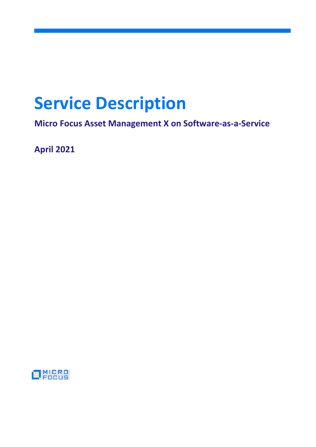# **Service Description**

**Micro Focus Asset Management X on Software-as-a-Service**

**April 2021**

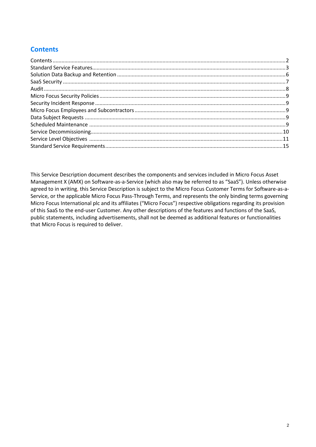# <span id="page-1-0"></span>**Contents**

This Service Description document describes the components and services included in Micro Focus Asset Management X (AMX) on Software-as-a-Service (which also may be referred to as "SaaS"). Unless otherwise agreed to in writing, this Service Description is subject to the Micro Focus Customer Terms for Software-as-a-Service, or the applicable Micro Focus Pass-Through Terms, and represents the only binding terms governing Micro Focus International plc and its affiliates ("Micro Focus") respective obligations regarding its provision of this SaaS to the end-user Customer. Any other descriptions of the features and functions of the SaaS, public statements, including advertisements, shall not be deemed as additional features or functionalities that Micro Focus is required to deliver.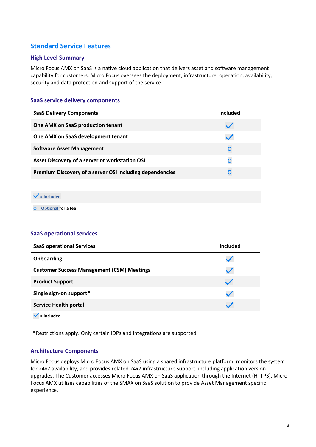# <span id="page-2-0"></span>**Standard Service Features**

#### **High Level Summary**

Micro Focus AMX on SaaS is a native cloud application that delivers asset and software management capability for customers. Micro Focus oversees the deployment, infrastructure, operation, availability, security and data protection and support of the service.

#### **SaaS service delivery components**

| <b>SaaS Delivery Components</b>                          | Included    |
|----------------------------------------------------------|-------------|
| One AMX on SaaS production tenant                        |             |
| One AMX on SaaS development tenant                       |             |
| <b>Software Asset Management</b>                         | $\mathbf 0$ |
| Asset Discovery of a server or workstation OSI           | O           |
| Premium Discovery of a server OSI including dependencies | Ω           |

#### **= Included**

**O = Optional for a fee**

#### **SaaS operational services**

| <b>SaaS operational Services</b>                  | Included |
|---------------------------------------------------|----------|
| Onboarding                                        |          |
| <b>Customer Success Management (CSM) Meetings</b> |          |
| <b>Product Support</b>                            |          |
| Single sign-on support*                           |          |
| <b>Service Health portal</b>                      |          |
| = Included                                        |          |

\*Restrictions apply. Only certain IDPs and integrations are supported

#### **Architecture Components**

Micro Focus deploys Micro Focus AMX on SaaS using a shared infrastructure platform, monitors the system for 24x7 availability, and provides related 24x7 infrastructure support, including application version upgrades. The Customer accesses Micro Focus AMX on SaaS application through the Internet (HTTPS). Micro Focus AMX utilizes capabilities of the SMAX on SaaS solution to provide Asset Management specific experience.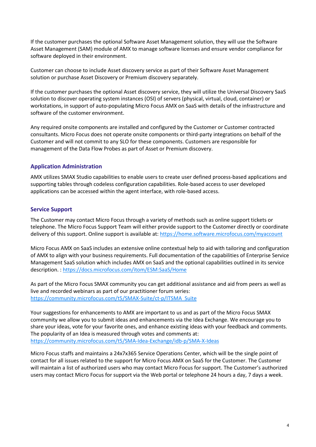If the customer purchases the optional Software Asset Management solution, they will use the Software Asset Management (SAM) module of AMX to manage software licenses and ensure vendor compliance for software deployed in their environment.

Customer can choose to include Asset discovery service as part of their Software Asset Management solution or purchase Asset Discovery or Premium discovery separately.

If the customer purchases the optional Asset discovery service, they will utilize the Universal Discovery SaaS solution to discover operating system instances (OSI) of servers (physical, virtual, cloud, container) or workstations, in support of auto-populating Micro Focus AMX on SaaS with details of the infrastructure and software of the customer environment.

Any required onsite components are installed and configured by the Customer or Customer contracted consultants. Micro Focus does not operate onsite components or third-party integrations on behalf of the Customer and will not commit to any SLO for these components. Customers are responsible for management of the Data Flow Probes as part of Asset or Premium discovery.

#### **Application Administration**

AMX utilizes SMAX Studio capabilities to enable users to create user defined process-based applications and supporting tables through codeless configuration capabilities. Role-based access to user developed applications can be accessed within the agent interface, with role-based access.

#### **Service Support**

The Customer may contact Micro Focus through a variety of methods such as online support tickets or telephone. The Micro Focus Support Team will either provide support to the Customer directly or coordinate delivery of this support. Online support is available at:<https://home.software.microfocus.com/myaccount>

Micro Focus AMX on SaaS includes an extensive online contextual help to aid with tailoring and configuration of AMX to align with your business requirements. Full documentation of the capabilities of Enterprise Service Management SaaS solution which includes AMX on SaaS and the optional capabilities outlined in its service description. :<https://docs.microfocus.com/itom/ESM:SaaS/Home>

As part of the Micro Focus SMAX community you can get additional assistance and aid from peers as well as live and recorded webinars as part of our practitioner forum series: [https://community.microfocus.com/t5/SMAX-Suite/ct-p/ITSMA\\_Suite](https://community.microfocus.com/t5/SMAX-Suite/ct-p/ITSMA_Suite)

Your suggestions for enhancements to AMX are important to us and as part of the Micro Focus SMAX community we allow you to submit ideas and enhancements via the Idea Exchange. We encourage you to share your ideas, vote for your favorite ones, and enhance existing ideas with your feedback and comments. The popularity of an Idea is measured through votes and comments at: <https://community.microfocus.com/t5/SMA-Idea-Exchange/idb-p/SMA-X-Ideas>

Micro Focus staffs and maintains a 24x7x365 Service Operations Center, which will be the single point of contact for all issues related to the support for Micro Focus AMX on SaaS for the Customer. The Customer will maintain a list of authorized users who may contact Micro Focus for support. The Customer's authorized users may contact Micro Focus for support via the Web portal or telephone 24 hours a day, 7 days a week.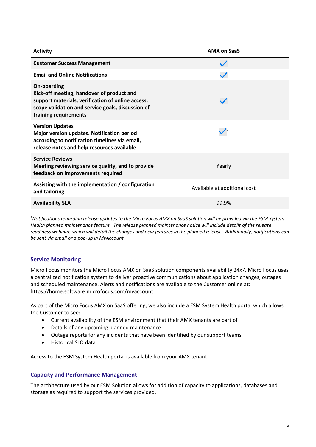| <b>Activity</b>                                                                                                                                                                                    | <b>AMX on SaaS</b>           |
|----------------------------------------------------------------------------------------------------------------------------------------------------------------------------------------------------|------------------------------|
| <b>Customer Success Management</b>                                                                                                                                                                 |                              |
| <b>Email and Online Notifications</b>                                                                                                                                                              |                              |
| <b>On-boarding</b><br>Kick-off meeting, handover of product and<br>support materials, verification of online access,<br>scope validation and service goals, discussion of<br>training requirements |                              |
| <b>Version Updates</b><br>Major version updates. Notification period<br>according to notification timelines via email,<br>release notes and help resources available                               |                              |
| <b>Service Reviews</b><br>Meeting reviewing service quality, and to provide<br>feedback on improvements required                                                                                   | Yearly                       |
| Assisting with the implementation / configuration<br>and tailoring                                                                                                                                 | Available at additional cost |
| <b>Availability SLA</b>                                                                                                                                                                            | 99.9%                        |

*1 Notifications regarding release updates to the Micro Focus AMX on SaaS solution will be provided via the ESM System Health planned maintenance feature. The release planned maintenance notice will include details of the release readiness webinar, which will detail the changes and new features in the planned release. Additionally, notifications can be sent via email or a pop-up in MyAccount.*

#### **Service Monitoring**

Micro Focus monitors the Micro Focus AMX on SaaS solution components availability 24x7. Micro Focus uses a centralized notification system to deliver proactive communications about application changes, outages and scheduled maintenance. Alerts and notifications are available to the Customer online at: https://home.software.microfocus.com/myaccount

As part of the Micro Focus AMX on SaaS offering, we also include a ESM System Health portal which allows the Customer to see:

- Current availability of the ESM environment that their AMX tenants are part of
- Details of any upcoming planned maintenance
- Outage reports for any incidents that have been identified by our support teams
- Historical SLO data.

Access to the ESM System Health portal is available from your AMX tenant

#### **Capacity and Performance Management**

The architecture used by our ESM Solution allows for addition of capacity to applications, databases and storage as required to support the services provided.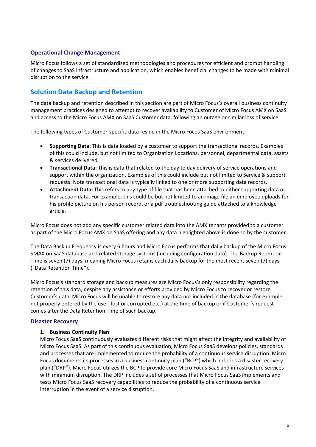#### **Operational Change Management**

Micro Focus follows a set of standardized methodologies and procedures for efficient and prompt handling of changes to SaaS infrastructure and application, which enables beneficial changes to be made with minimal disruption to the service.

## <span id="page-5-0"></span>**Solution Data Backup and Retention**

The data backup and retention described in this section are part of Micro Focus's overall business continuity management practices designed to attempt to recover availability to Customer of Micro Focus AMX on SaaS and access to the Micro Focus AMX on SaaS Customer data, following an outage or similar loss of service.

The following types of Customer-specific data reside in the Micro Focus SaaS environment:

- **Supporting Data:** This is data loaded by a customer to support the transactional records. Examples of this could include, but not limited to Organization Locations, personnel, departmental data, assets & services delivered.
- **Transactional Data:** This is data that related to the day to day delivery of service operations and support within the organization. Examples of this could include but not limited to Service & support requests. Note transactional data is typically linked to one or more supporting data records.
- **Attachment Data:** This refers to any type of file that has been attached to either supporting data or transaction data. For example, this could be but not limited to an image file an employee uploads for his profile picture on his person record, or a pdf troubleshooting guide attached to a knowledge article.

Micro Focus does not add any specific customer related data into the AMX tenants provided to a customer as part of the Micro Focus AMX on SaaS offering and any data highlighted above is done so by the customer.

The Data Backup Frequency is every 6 hours and Micro Focus performs that daily backup of the Micro Focus SMAX on SaaS database and related storage systems (including configuration data). The Backup Retention Time is seven (7) days, meaning Micro Focus retains each daily backup for the most recent seven (7) days ("Data Retention Time").

Micro Focus's standard storage and backup measures are Micro Focus's only responsibility regarding the retention of this data, despite any assistance or efforts provided by Micro Focus to recover or restore Customer's data. Micro Focus will be unable to restore any data not included in the database (for example not properly entered by the user, lost or corrupted etc.) at the time of backup or if Customer´s request comes after the Data Retention Time of such backup.

#### **Disaster Recovery**

#### **1. Business Continuity Plan**

Micro Focus SaaS continuously evaluates different risks that might affect the integrity and availability of Micro Focus SaaS. As part of this continuous evaluation, Micro Focus SaaS develops policies, standards and processes that are implemented to reduce the probability of a continuous service disruption. Micro Focus documents its processes in a business continuity plan ("BCP") which includes a disaster recovery plan ("DRP"). Micro Focus utilizes the BCP to provide core Micro Focus SaaS and infrastructure services with minimum disruption. The DRP includes a set of processes that Micro Focus SaaS implements and tests Micro Focus SaaS recovery capabilities to reduce the probability of a continuous service interruption in the event of a service disruption.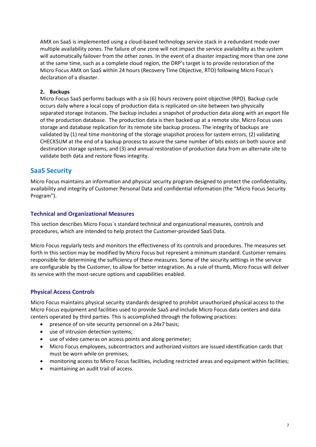AMX on SaaS is implemented using a cloud-based technology service stack in a redundant mode over multiple availability zones. The failure of one zone will not impact the service availability as the system will automatically failover from the other zones. In the event of a disaster impacting more than one zone at the same time, such as a complete cloud region, the DRP's target is to provide restoration of the Micro Focus AMX on SaaS within 24 hours (Recovery Time Objective, RTO) following Micro Focus's declaration of a disaster.

#### **2. Backups**

Micro Focus SaaS performs backups with a six (6) hours recovery point objective (RPO). Backup cycle occurs daily where a local copy of production data is replicated on-site between two physically separated storage instances. The backup includes a snapshot of production data along with an export file of the production database. The production data is then backed up at a remote site. Micro Focus uses storage and database replication for its remote site backup process. The integrity of backups are validated by (1) real time monitoring of the storage snapshot process for system errors, (2) validating CHECKSUM at the end of a backup process to assure the same number of bits exists on both source and destination storage systems, and (3) and annual restoration of production data from an alternate site to validate both data and restore flows integrity.

## <span id="page-6-0"></span>**SaaS Security**

Micro Focus maintains an information and physical security program designed to protect the confidentiality, availability and integrity of Customer Personal Data and confidential information (the "Micro Focus Security Program").

#### **Technical and Organizational Measures**

This section describes Micro Focus´s standard technical and organizational measures, controls and procedures, which are intended to help protect the Customer-provided SaaS Data.

Micro Focus regularly tests and monitors the effectiveness of its controls and procedures. The measures set forth in this section may be modified by Micro Focus but represent a minimum standard. Customer remains responsible for determining the sufficiency of these measures. Some of the security settings in the service are configurable by the Customer, to allow for better integration. As a rule of thumb, Micro Focus will deliver its service with the most-secure options and capabilities enabled.

#### **Physical Access Controls**

Micro Focus maintains physical security standards designed to prohibit unauthorized physical access to the Micro Focus equipment and facilities used to provide SaaS and include Micro Focus data centers and data centers operated by third parties. This is accomplished through the following practices:

- presence of on-site security personnel on a 24x7 basis;
- use of intrusion detection systems;
- use of video cameras on access points and along perimeter;
- Micro Focus employees, subcontractors and authorized visitors are issued identification cards that must be worn while on premises;
- monitoring access to Micro Focus facilities, including restricted areas and equipment within facilities;
- maintaining an audit trail of access.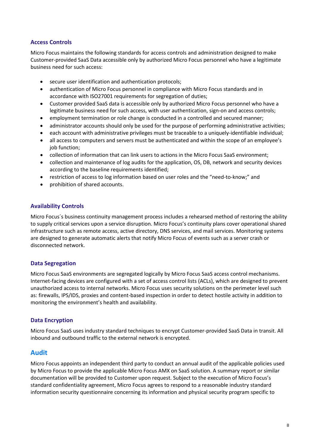#### **Access Controls**

Micro Focus maintains the following standards for access controls and administration designed to make Customer-provided SaaS Data accessible only by authorized Micro Focus personnel who have a legitimate business need for such access:

- secure user identification and authentication protocols;
- authentication of Micro Focus personnel in compliance with Micro Focus standards and in accordance with ISO27001 requirements for segregation of duties;
- Customer provided SaaS data is accessible only by authorized Micro Focus personnel who have a legitimate business need for such access, with user authentication, sign-on and access controls;
- employment termination or role change is conducted in a controlled and secured manner;
- administrator accounts should only be used for the purpose of performing administrative activities;
- each account with administrative privileges must be traceable to a uniquely-identifiable individual;
- all access to computers and servers must be authenticated and within the scope of an employee's job function;
- collection of information that can link users to actions in the Micro Focus SaaS environment:
- collection and maintenance of log audits for the application, OS, DB, network and security devices according to the baseline requirements identified;
- restriction of access to log information based on user roles and the "need-to-know;" and
- prohibition of shared accounts.

#### **Availability Controls**

Micro Focus´s business continuity management process includes a rehearsed method of restoring the ability to supply critical services upon a service disruption. Micro Focus's continuity plans cover operational shared infrastructure such as remote access, active directory, DNS services, and mail services. Monitoring systems are designed to generate automatic alerts that notify Micro Focus of events such as a server crash or disconnected network.

#### **Data Segregation**

Micro Focus SaaS environments are segregated logically by Micro Focus SaaS access control mechanisms. Internet-facing devices are configured with a set of access control lists (ACLs), which are designed to prevent unauthorized access to internal networks. Micro Focus uses security solutions on the perimeter level such as: firewalls, IPS/IDS, proxies and content-based inspection in order to detect hostile activity in addition to monitoring the environment's health and availability.

#### **Data Encryption**

Micro Focus SaaS uses industry standard techniques to encrypt Customer-provided SaaS Data in transit. All inbound and outbound traffic to the external network is encrypted.

#### <span id="page-7-0"></span>**Audit**

Micro Focus appoints an independent third party to conduct an annual audit of the applicable policies used by Micro Focus to provide the applicable Micro Focus AMX on SaaS solution. A summary report or similar documentation will be provided to Customer upon request. Subject to the execution of Micro Focus's standard confidentiality agreement, Micro Focus agrees to respond to a reasonable industry standard information security questionnaire concerning its information and physical security program specific to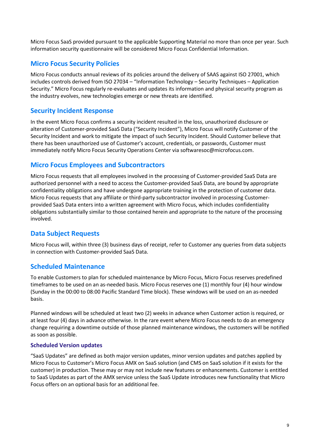Micro Focus SaaS provided pursuant to the applicable Supporting Material no more than once per year. Such information security questionnaire will be considered Micro Focus Confidential Information.

## <span id="page-8-0"></span>**Micro Focus Security Policies**

Micro Focus conducts annual reviews of its policies around the delivery of SAAS against ISO 27001, which includes controls derived from ISO 27034 – "Information Technology – Security Techniques – Application Security." Micro Focus regularly re-evaluates and updates its information and physical security program as the industry evolves, new technologies emerge or new threats are identified.

### <span id="page-8-1"></span>**Security Incident Response**

In the event Micro Focus confirms a security incident resulted in the loss, unauthorized disclosure or alteration of Customer-provided SaaS Data ("Security Incident"), Micro Focus will notify Customer of the Security Incident and work to mitigate the impact of such Security Incident. Should Customer believe that there has been unauthorized use of Customer's account, credentials, or passwords, Customer must immediately notify Micro Focus Security Operations Center via softwaresoc@microfocus.com.

## <span id="page-8-2"></span>**Micro Focus Employees and Subcontractors**

Micro Focus requests that all employees involved in the processing of Customer-provided SaaS Data are authorized personnel with a need to access the Customer-provided SaaS Data, are bound by appropriate confidentiality obligations and have undergone appropriate training in the protection of customer data. Micro Focus requests that any affiliate or third-party subcontractor involved in processing Customerprovided SaaS Data enters into a written agreement with Micro Focus, which includes confidentiality obligations substantially similar to those contained herein and appropriate to the nature of the processing involved.

## <span id="page-8-3"></span>**Data Subject Requests**

Micro Focus will, within three (3) business days of receipt, refer to Customer any queries from data subjects in connection with Customer-provided SaaS Data.

#### <span id="page-8-4"></span>**Scheduled Maintenance**

To enable Customers to plan for scheduled maintenance by Micro Focus, Micro Focus reserves predefined timeframes to be used on an as-needed basis. Micro Focus reserves one (1) monthly four (4) hour window (Sunday in the 00:00 to 08:00 Pacific Standard Time block). These windows will be used on an as-needed basis.

Planned windows will be scheduled at least two (2) weeks in advance when Customer action is required, or at least four (4) days in advance otherwise. In the rare event where Micro Focus needs to do an emergency change requiring a downtime outside of those planned maintenance windows, the customers will be notified as soon as possible.

#### **Scheduled Version updates**

"SaaS Updates" are defined as both major version updates, minor version updates and patches applied by Micro Focus to Customer's Micro Focus AMX on SaaS solution (and CMS on SaaS solution if it exists for the customer) in production. These may or may not include new features or enhancements. Customer is entitled to SaaS Updates as part of the AMX service unless the SaaS Update introduces new functionality that Micro Focus offers on an optional basis for an additional fee.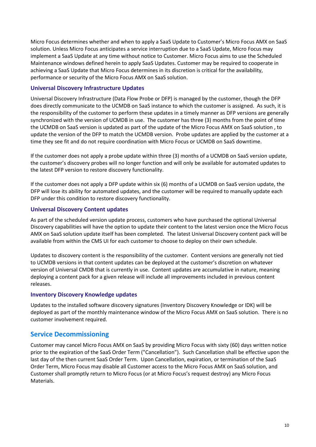Micro Focus determines whether and when to apply a SaaS Update to Customer's Micro Focus AMX on SaaS solution. Unless Micro Focus anticipates a service interruption due to a SaaS Update, Micro Focus may implement a SaaS Update at any time without notice to Customer. Micro Focus aims to use the Scheduled Maintenance windows defined herein to apply SaaS Updates. Customer may be required to cooperate in achieving a SaaS Update that Micro Focus determines in its discretion is critical for the availability, performance or security of the Micro Focus AMX on SaaS solution.

#### **Universal Discovery Infrastructure Updates**

Universal Discovery Infrastructure (Data Flow Probe or DFP) is managed by the customer, though the DFP does directly communicate to the UCMDB on SaaS instance to which the customer is assigned. As such, it is the responsibility of the customer to perform these updates in a timely manner as DFP versions are generally synchronized with the version of UCMDB in use. The customer has three (3) months from the point of time the UCMDB on SaaS version is updated as part of the update of the Micro Focus AMX on SaaS solution , to update the version of the DFP to match the UCMDB version. Probe updates are applied by the customer at a time they see fit and do not require coordination with Micro Focus or UCMDB on SaaS downtime.

If the customer does not apply a probe update within three (3) months of a UCMDB on SaaS version update, the customer's discovery probes will no longer function and will only be available for automated updates to the latest DFP version to restore discovery functionality.

If the customer does not apply a DFP update within six (6) months of a UCMDB on SaaS version update, the DFP will lose its ability for automated updates, and the customer will be required to manually update each DFP under this condition to restore discovery functionality.

#### **Universal Discovery Content updates**

As part of the scheduled version update process, customers who have purchased the optional Universal Discovery capabilities will have the option to update their content to the latest version once the Micro Focus AMX on SaaS solution update itself has been completed. The latest Universal Discovery content pack will be available from within the CMS UI for each customer to choose to deploy on their own schedule.

Updates to discovery content is the responsibility of the customer. Content versions are generally not tied to UCMDB versions in that content updates can be deployed at the customer's discretion on whatever version of Universal CMDB that is currently in use. Content updates are accumulative in nature, meaning deploying a content pack for a given release will include all improvements included in previous content releases.

#### **Inventory Discovery Knowledge updates**

Updates to the installed software discovery signatures (Inventory Discovery Knowledge or IDK) will be deployed as part of the monthly maintenance window of the Micro Focus AMX on SaaS solution. There is no customer involvement required.

## <span id="page-9-0"></span>**Service Decommissioning**

Customer may cancel Micro Focus AMX on SaaS by providing Micro Focus with sixty (60) days written notice prior to the expiration of the SaaS Order Term ("Cancellation"). Such Cancellation shall be effective upon the last day of the then current SaaS Order Term. Upon Cancellation, expiration, or termination of the SaaS Order Term, Micro Focus may disable all Customer access to the Micro Focus AMX on SaaS solution, and Customer shall promptly return to Micro Focus (or at Micro Focus's request destroy) any Micro Focus Materials.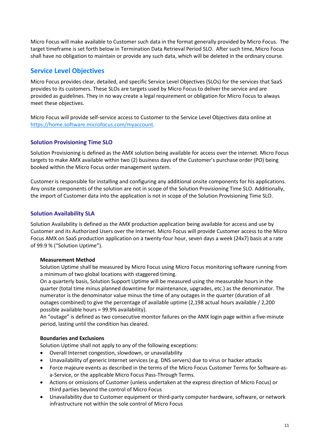Micro Focus will make available to Customer such data in the format generally provided by Micro Focus. The target timeframe is set forth below in Termination Data Retrieval Period SLO. After such time, Micro Focus shall have no obligation to maintain or provide any such data, which will be deleted in the ordinary course.

# <span id="page-10-0"></span>**Service Level Objectives**

Micro Focus provides clear, detailed, and specific Service Level Objectives (SLOs) for the services that SaaS provides to its customers. These SLOs are targets used by Micro Focus to deliver the service and are provided as guidelines. They in no way create a legal requirement or obligation for Micro Focus to always meet these objectives.

Micro Focus will provide self-service access to Customer to the Service Level Objectives data online at [https://home.software.microfocus.com/myaccount.](https://home.software.microfocus.com/myaccount)

#### **Solution Provisioning Time SLO**

Solution Provisioning is defined as the AMX solution being available for access over the internet. Micro Focus targets to make AMX available within two (2) business days of the Customer's purchase order (PO) being booked within the Micro Focus order management system.

Customer is responsible for installing and configuring any additional onsite components for his applications. Any onsite components of the solution are not in scope of the Solution Provisioning Time SLO. Additionally, the import of Customer data into the application is not in scope of the Solution Provisioning Time SLO.

#### **Solution Availability SLA**

Solution Availability is defined as the AMX production application being available for access and use by Customer and its Authorized Users over the Internet. Micro Focus will provide Customer access to the Micro Focus AMX on SaaS production application on a twenty-four hour, seven days a week (24x7) basis at a rate of 99.9 % ("Solution Uptime").

#### **Measurement Method**

Solution Uptime shall be measured by Micro Focus using Micro Focus monitoring software running from a minimum of two global locations with staggered timing.

On a quarterly basis, Solution Support Uptime will be measured using the measurable hours in the quarter (total time minus planned downtime for maintenance, upgrades, etc.) as the denominator. The numerator is the denominator value minus the time of any outages in the quarter (duration of all outages combined) to give the percentage of available uptime (2,198 actual hours available / 2,200 possible available hours = 99.9% availability).

An "outage" is defined as two consecutive monitor failures on the AMX login page within a five-minute period, lasting until the condition has cleared.

#### **Boundaries and Exclusions**

Solution Uptime shall not apply to any of the following exceptions:

- Overall Internet congestion, slowdown, or unavailability
- Unavailability of generic Internet services (e.g. DNS servers) due to virus or hacker attacks
- Force majeure events as described in the terms of the Micro Focus Customer Terms for Software-asa-Service, or the applicable Micro Focus Pass-Through Terms.
- Actions or omissions of Customer (unless undertaken at the express direction of Micro Focus) or third parties beyond the control of Micro Focus
- Unavailability due to Customer equipment or third-party computer hardware, software, or network infrastructure not within the sole control of Micro Focus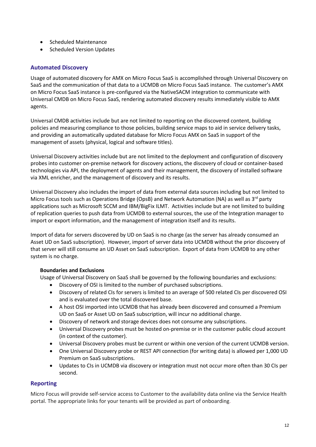- Scheduled Maintenance
- Scheduled Version Updates

#### **Automated Discovery**

Usage of automated discovery for AMX on Micro Focus SaaS is accomplished through Universal Discovery on SaaS and the communication of that data to a UCMDB on Micro Focus SaaS instance. The customer's AMX on Micro Focus SaaS instance is pre-configured via the NativeSACM integration to communicate with Universal CMDB on Micro Focus SaaS, rendering automated discovery results immediately visible to AMX agents.

Universal CMDB activities include but are not limited to reporting on the discovered content, building policies and measuring compliance to those policies, building service maps to aid in service delivery tasks, and providing an automatically updated database for Micro Focus AMX on SaaS in support of the management of assets (physical, logical and software titles).

Universal Discovery activities include but are not limited to the deployment and configuration of discovery probes into customer on-premise network for discovery actions, the discovery of cloud or container-based technologies via API, the deployment of agents and their management, the discovery of installed software via XML enricher, and the management of discovery and its results.

Universal Discovery also includes the import of data from external data sources including but not limited to Micro Focus tools such as Operations Bridge (OpsB) and Network Automation (NA) as well as  $3<sup>rd</sup>$  party applications such as Microsoft SCCM and IBM/BigFix ILMT. Activities include but are not limited to building of replication queries to push data from UCMDB to external sources, the use of the Integration manager to import or export information, and the management of integration itself and its results.

Import of data for servers discovered by UD on SaaS is no charge (as the server has already consumed an Asset UD on SaaS subscription). However, import of server data into UCMDB without the prior discovery of that server will still consume an UD Asset on SaaS subscription. Export of data from UCMDB to any other system is no charge.

#### **Boundaries and Exclusions**

Usage of Universal Discovery on SaaS shall be governed by the following boundaries and exclusions:

- Discovery of OSI is limited to the number of purchased subscriptions.
- Discovery of related CIs for servers is limited to an average of 500 related CIs per discovered OSI and is evaluated over the total discovered base.
- A host OSI imported into UCMDB that has already been discovered and consumed a Premium UD on SaaS or Asset UD on SaaS subscription, will incur no additional charge.
- Discovery of network and storage devices does not consume any subscriptions.
- Universal Discovery probes must be hosted on-premise or in the customer public cloud account (in context of the customer).
- Universal Discovery probes must be current or within one version of the current UCMDB version.
- One Universal Discovery probe or REST API connection (for writing data) is allowed per 1,000 UD Premium on SaaS subscriptions.
- Updates to CIs in UCMDB via discovery or integration must not occur more often than 30 CIs per second.

#### **Reporting**

Micro Focus will provide self-service access to Customer to the availability data online via the Service Health portal. The appropriate links for your tenants will be provided as part of onboarding.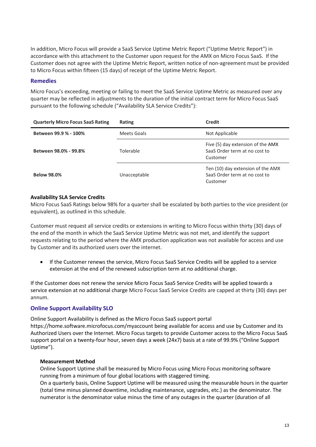In addition, Micro Focus will provide a SaaS Service Uptime Metric Report ("Uptime Metric Report") in accordance with this attachment to the Customer upon request for the AMX on Micro Focus SaaS. If the Customer does not agree with the Uptime Metric Report, written notice of non-agreement must be provided to Micro Focus within fifteen (15 days) of receipt of the Uptime Metric Report.

#### **Remedies**

Micro Focus's exceeding, meeting or failing to meet the SaaS Service Uptime Metric as measured over any quarter may be reflected in adjustments to the duration of the initial contract term for Micro Focus SaaS pursuant to the following schedule ("Availability SLA Service Credits"):

| <b>Quarterly Micro Focus SaaS Rating</b> | Rating       | <b>Credit</b>                                                                  |
|------------------------------------------|--------------|--------------------------------------------------------------------------------|
| Between 99.9 % - 100%                    | Meets Goals  | Not Applicable                                                                 |
| Between 98.0% - 99.8%                    | Tolerable    | Five (5) day extension of the AMX<br>SaaS Order term at no cost to<br>Customer |
| <b>Below 98.0%</b>                       | Unacceptable | Ten (10) day extension of the AMX<br>SaaS Order term at no cost to<br>Customer |

#### **Availability SLA Service Credits**

Micro Focus SaaS Ratings below 98% for a quarter shall be escalated by both parties to the vice president (or equivalent), as outlined in this schedule.

Customer must request all service credits or extensions in writing to Micro Focus within thirty (30) days of the end of the month in which the SaaS Service Uptime Metric was not met, and identify the support requests relating to the period where the AMX production application was not available for access and use by Customer and its authorized users over the internet.

• If the Customer renews the service, Micro Focus SaaS Service Credits will be applied to a service extension at the end of the renewed subscription term at no additional charge.

If the Customer does not renew the service Micro Focus SaaS Service Credits will be applied towards a service extension at no additional charge Micro Focus SaaS Service Credits are capped at thirty (30) days per annum.

#### **Online Support Availability SLO**

Online Support Availability is defined as the Micro Focus SaaS support portal https://home.software.microfocus.com/myaccount being available for access and use by Customer and its Authorized Users over the Internet. Micro Focus targets to provide Customer access to the Micro Focus SaaS support portal on a twenty-four hour, seven days a week (24x7) basis at a rate of 99.9% ("Online Support Uptime").

#### **Measurement Method**

Online Support Uptime shall be measured by Micro Focus using Micro Focus monitoring software running from a minimum of four global locations with staggered timing.

On a quarterly basis, Online Support Uptime will be measured using the measurable hours in the quarter (total time minus planned downtime, including maintenance, upgrades, etc.) as the denominator. The numerator is the denominator value minus the time of any outages in the quarter (duration of all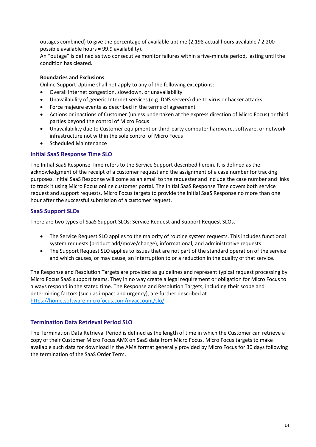outages combined) to give the percentage of available uptime (2,198 actual hours available / 2,200 possible available hours = 99.9 availability).

An "outage" is defined as two consecutive monitor failures within a five-minute period, lasting until the condition has cleared.

#### **Boundaries and Exclusions**

Online Support Uptime shall not apply to any of the following exceptions:

- Overall Internet congestion, slowdown, or unavailability
- Unavailability of generic Internet services (e.g. DNS servers) due to virus or hacker attacks
- Force majeure events as described in the terms of agreement
- Actions or inactions of Customer (unless undertaken at the express direction of Micro Focus) or third parties beyond the control of Micro Focus
- Unavailability due to Customer equipment or third-party computer hardware, software, or network infrastructure not within the sole control of Micro Focus
- Scheduled Maintenance

#### **Initial SaaS Response Time SLO**

The Initial SaaS Response Time refers to the Service Support described herein. It is defined as the acknowledgment of the receipt of a customer request and the assignment of a case number for tracking purposes. Initial SaaS Response will come as an email to the requester and include the case number and links to track it using Micro Focus online customer portal. The Initial SaaS Response Time covers both service request and support requests. Micro Focus targets to provide the Initial SaaS Response no more than one hour after the successful submission of a customer request.

#### **SaaS Support SLOs**

There are two types of SaaS Support SLOs: Service Request and Support Request SLOs.

- The Service Request SLO applies to the majority of routine system requests. This includes functional system requests (product add/move/change), informational, and administrative requests.
- The Support Request SLO applies to issues that are not part of the standard operation of the service and which causes, or may cause, an interruption to or a reduction in the quality of that service.

The Response and Resolution Targets are provided as guidelines and represent typical request processing by Micro Focus SaaS support teams. They in no way create a legal requirement or obligation for Micro Focus to always respond in the stated time. The Response and Resolution Targets, including their scope and determining factors (such as impact and urgency), are further described at [https://home.software.microfocus.com/myaccount/slo/.](https://home.software.microfocus.com/myaccount/slo/)

#### **Termination Data Retrieval Period SLO**

The Termination Data Retrieval Period is defined as the length of time in which the Customer can retrieve a copy of their Customer Micro Focus AMX on SaaS data from Micro Focus. Micro Focus targets to make available such data for download in the AMX format generally provided by Micro Focus for 30 days following the termination of the SaaS Order Term.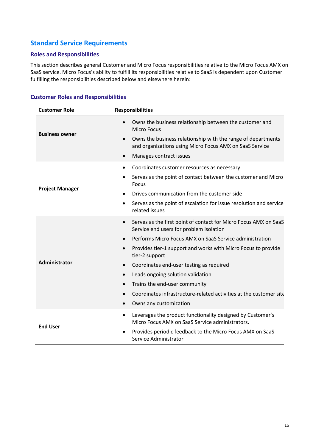# <span id="page-14-0"></span>**Standard Service Requirements**

#### **Roles and Responsibilities**

This section describes general Customer and Micro Focus responsibilities relative to the Micro Focus AMX on SaaS service. Micro Focus's ability to fulfill its responsibilities relative to SaaS is dependent upon Customer fulfilling the responsibilities described below and elsewhere herein:

#### **Customer Roles and Responsibilities**

| <b>Customer Role</b>   | <b>Responsibilities</b>                                                                                                                                                                                                                                                                                                                                                                                                                                                                                                                                                             |
|------------------------|-------------------------------------------------------------------------------------------------------------------------------------------------------------------------------------------------------------------------------------------------------------------------------------------------------------------------------------------------------------------------------------------------------------------------------------------------------------------------------------------------------------------------------------------------------------------------------------|
| <b>Business owner</b>  | Owns the business relationship between the customer and<br>$\bullet$<br><b>Micro Focus</b><br>Owns the business relationship with the range of departments<br>$\bullet$<br>and organizations using Micro Focus AMX on SaaS Service<br>Manages contract issues<br>$\bullet$                                                                                                                                                                                                                                                                                                          |
| <b>Project Manager</b> | Coordinates customer resources as necessary<br>$\bullet$<br>Serves as the point of contact between the customer and Micro<br>$\bullet$<br>Focus<br>Drives communication from the customer side<br>Serves as the point of escalation for issue resolution and service<br>$\bullet$<br>related issues                                                                                                                                                                                                                                                                                 |
| Administrator          | Serves as the first point of contact for Micro Focus AMX on SaaS<br>$\bullet$<br>Service end users for problem isolation<br>Performs Micro Focus AMX on SaaS Service administration<br>$\bullet$<br>Provides tier-1 support and works with Micro Focus to provide<br>$\bullet$<br>tier-2 support<br>Coordinates end-user testing as required<br>$\bullet$<br>Leads ongoing solution validation<br>$\bullet$<br>Trains the end-user community<br>$\bullet$<br>Coordinates infrastructure-related activities at the customer site<br>$\bullet$<br>Owns any customization<br>$\bullet$ |
| <b>End User</b>        | Leverages the product functionality designed by Customer's<br>$\bullet$<br>Micro Focus AMX on SaaS Service administrators.<br>Provides periodic feedback to the Micro Focus AMX on SaaS<br>Service Administrator                                                                                                                                                                                                                                                                                                                                                                    |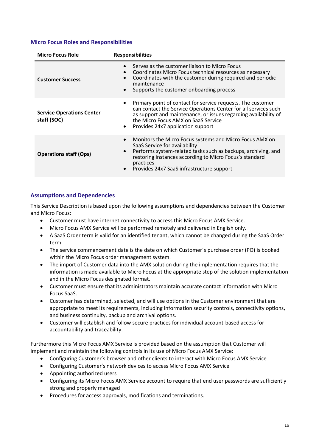#### **Micro Focus Roles and Responsibilities**

| <b>Micro Focus Role</b>                         | <b>Responsibilities</b>                                                                                                                                                                                                                                                        |
|-------------------------------------------------|--------------------------------------------------------------------------------------------------------------------------------------------------------------------------------------------------------------------------------------------------------------------------------|
| <b>Customer Success</b>                         | Serves as the customer liaison to Micro Focus<br>Coordinates Micro Focus technical resources as necessary<br>Coordinates with the customer during required and periodic<br>maintenance<br>Supports the customer onboarding process                                             |
| <b>Service Operations Center</b><br>staff (SOC) | Primary point of contact for service requests. The customer<br>can contact the Service Operations Center for all services such<br>as support and maintenance, or issues regarding availability of<br>the Micro Focus AMX on SaaS Service<br>Provides 24x7 application support  |
| <b>Operations staff (Ops)</b>                   | Monitors the Micro Focus systems and Micro Focus AMX on<br>SaaS Service for availability<br>Performs system-related tasks such as backups, archiving, and<br>restoring instances according to Micro Focus's standard<br>practices<br>Provides 24x7 SaaS infrastructure support |

#### **Assumptions and Dependencies**

This Service Description is based upon the following assumptions and dependencies between the Customer and Micro Focus:

- Customer must have internet connectivity to access this Micro Focus AMX Service.
- Micro Focus AMX Service will be performed remotely and delivered in English only.
- A SaaS Order term is valid for an identified tenant, which cannot be changed during the SaaS Order term.
- The service commencement date is the date on which Customer's purchase order (PO) is booked within the Micro Focus order management system.
- The import of Customer data into the AMX solution during the implementation requires that the information is made available to Micro Focus at the appropriate step of the solution implementation and in the Micro Focus designated format.
- Customer must ensure that its administrators maintain accurate contact information with Micro Focus SaaS.
- Customer has determined, selected, and will use options in the Customer environment that are appropriate to meet its requirements, including information security controls, connectivity options, and business continuity, backup and archival options.
- Customer will establish and follow secure practices for individual account-based access for accountability and traceability.

Furthermore this Micro Focus AMX Service is provided based on the assumption that Customer will implement and maintain the following controls in its use of Micro Focus AMX Service:

- Configuring Customer's browser and other clients to interact with Micro Focus AMX Service
- Configuring Customer's network devices to access Micro Focus AMX Service
- Appointing authorized users
- Configuring its Micro Focus AMX Service account to require that end user passwords are sufficiently strong and properly managed
- Procedures for access approvals, modifications and terminations.